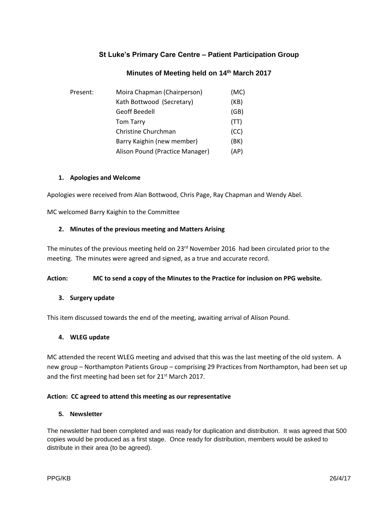# **St Luke's Primary Care Centre – Patient Participation Group**

# **Minutes of Meeting held on 14th March 2017**

| Present: | Moira Chapman (Chairperson)     | (MC) |
|----------|---------------------------------|------|
|          | Kath Bottwood (Secretary)       | (KB) |
|          | Geoff Beedell                   | (GB) |
|          | <b>Tom Tarry</b>                | (TT) |
|          | Christine Churchman             | (CC) |
|          | Barry Kaighin (new member)      | (BK) |
|          | Alison Pound (Practice Manager) | (AP) |

## **1. Apologies and Welcome**

Apologies were received from Alan Bottwood, Chris Page, Ray Chapman and Wendy Abel.

MC welcomed Barry Kaighin to the Committee

## **2. Minutes of the previous meeting and Matters Arising**

The minutes of the previous meeting held on 23<sup>rd</sup> November 2016 had been circulated prior to the meeting. The minutes were agreed and signed, as a true and accurate record.

#### **Action: MC to send a copy of the Minutes to the Practice for inclusion on PPG website.**

## **3. Surgery update**

This item discussed towards the end of the meeting, awaiting arrival of Alison Pound.

## **4. WLEG update**

MC attended the recent WLEG meeting and advised that this was the last meeting of the old system. A new group – Northampton Patients Group – comprising 29 Practices from Northampton, had been set up and the first meeting had been set for  $21^{st}$  March 2017.

## **Action: CC agreed to attend this meeting as our representative**

## **5. Newsletter**

The newsletter had been completed and was ready for duplication and distribution. It was agreed that 500 copies would be produced as a first stage. Once ready for distribution, members would be asked to distribute in their area (to be agreed).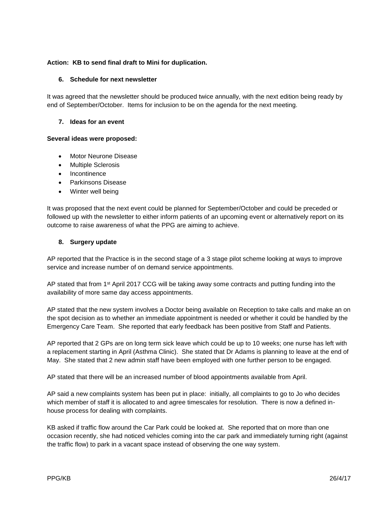## **Action: KB to send final draft to Mini for duplication.**

#### **6. Schedule for next newsletter**

It was agreed that the newsletter should be produced twice annually, with the next edition being ready by end of September/October. Items for inclusion to be on the agenda for the next meeting.

#### **7. Ideas for an event**

#### **Several ideas were proposed:**

- Motor Neurone Disease
- Multiple Sclerosis
- Incontinence
- Parkinsons Disease
- Winter well being

It was proposed that the next event could be planned for September/October and could be preceded or followed up with the newsletter to either inform patients of an upcoming event or alternatively report on its outcome to raise awareness of what the PPG are aiming to achieve.

#### **8. Surgery update**

AP reported that the Practice is in the second stage of a 3 stage pilot scheme looking at ways to improve service and increase number of on demand service appointments.

AP stated that from 1<sup>st</sup> April 2017 CCG will be taking away some contracts and putting funding into the availability of more same day access appointments.

AP stated that the new system involves a Doctor being available on Reception to take calls and make an on the spot decision as to whether an immediate appointment is needed or whether it could be handled by the Emergency Care Team. She reported that early feedback has been positive from Staff and Patients.

AP reported that 2 GPs are on long term sick leave which could be up to 10 weeks; one nurse has left with a replacement starting in April (Asthma Clinic). She stated that Dr Adams is planning to leave at the end of May. She stated that 2 new admin staff have been employed with one further person to be engaged.

AP stated that there will be an increased number of blood appointments available from April.

AP said a new complaints system has been put in place: initially, all complaints to go to Jo who decides which member of staff it is allocated to and agree timescales for resolution. There is now a defined inhouse process for dealing with complaints.

KB asked if traffic flow around the Car Park could be looked at. She reported that on more than one occasion recently, she had noticed vehicles coming into the car park and immediately turning right (against the traffic flow) to park in a vacant space instead of observing the one way system.